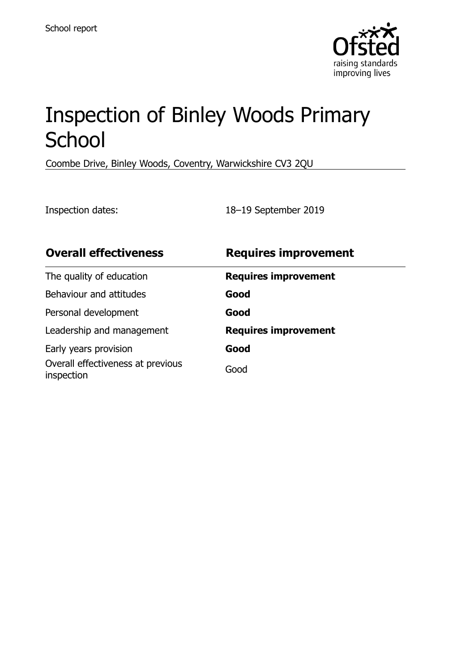

# Inspection of Binley Woods Primary **School**

Coombe Drive, Binley Woods, Coventry, Warwickshire CV3 2QU

Inspection dates: 18–19 September 2019

| <b>Overall effectiveness</b>                    | <b>Requires improvement</b> |
|-------------------------------------------------|-----------------------------|
| The quality of education                        | <b>Requires improvement</b> |
| Behaviour and attitudes                         | Good                        |
| Personal development                            | Good                        |
| Leadership and management                       | <b>Requires improvement</b> |
| Early years provision                           | Good                        |
| Overall effectiveness at previous<br>inspection | Good                        |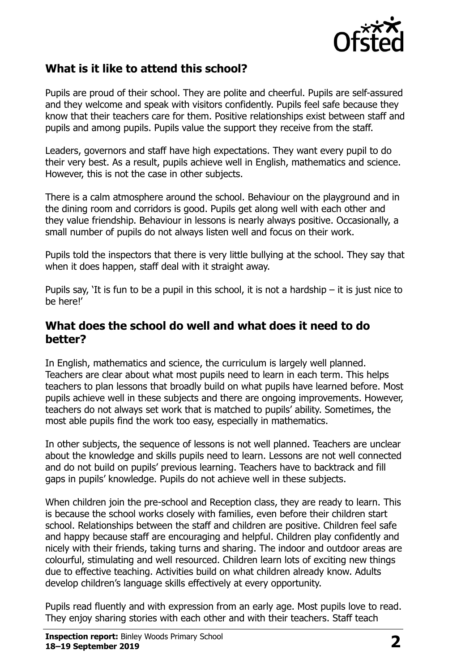

### **What is it like to attend this school?**

Pupils are proud of their school. They are polite and cheerful. Pupils are self-assured and they welcome and speak with visitors confidently. Pupils feel safe because they know that their teachers care for them. Positive relationships exist between staff and pupils and among pupils. Pupils value the support they receive from the staff.

Leaders, governors and staff have high expectations. They want every pupil to do their very best. As a result, pupils achieve well in English, mathematics and science. However, this is not the case in other subjects.

There is a calm atmosphere around the school. Behaviour on the playground and in the dining room and corridors is good. Pupils get along well with each other and they value friendship. Behaviour in lessons is nearly always positive. Occasionally, a small number of pupils do not always listen well and focus on their work.

Pupils told the inspectors that there is very little bullying at the school. They say that when it does happen, staff deal with it straight away.

Pupils say, 'It is fun to be a pupil in this school, it is not a hardship – it is just nice to be here!'

#### **What does the school do well and what does it need to do better?**

In English, mathematics and science, the curriculum is largely well planned. Teachers are clear about what most pupils need to learn in each term. This helps teachers to plan lessons that broadly build on what pupils have learned before. Most pupils achieve well in these subjects and there are ongoing improvements. However, teachers do not always set work that is matched to pupils' ability. Sometimes, the most able pupils find the work too easy, especially in mathematics.

In other subjects, the sequence of lessons is not well planned. Teachers are unclear about the knowledge and skills pupils need to learn. Lessons are not well connected and do not build on pupils' previous learning. Teachers have to backtrack and fill gaps in pupils' knowledge. Pupils do not achieve well in these subjects.

When children join the pre-school and Reception class, they are ready to learn. This is because the school works closely with families, even before their children start school. Relationships between the staff and children are positive. Children feel safe and happy because staff are encouraging and helpful. Children play confidently and nicely with their friends, taking turns and sharing. The indoor and outdoor areas are colourful, stimulating and well resourced. Children learn lots of exciting new things due to effective teaching. Activities build on what children already know. Adults develop children's language skills effectively at every opportunity.

Pupils read fluently and with expression from an early age. Most pupils love to read. They enjoy sharing stories with each other and with their teachers. Staff teach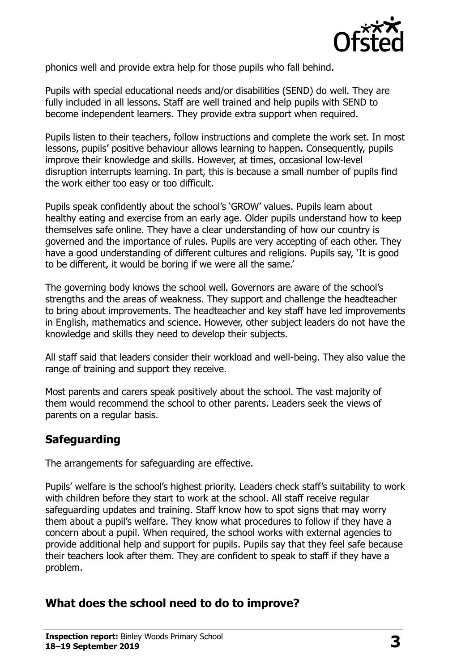

phonics well and provide extra help for those pupils who fall behind.

Pupils with special educational needs and/or disabilities (SEND) do well. They are fully included in all lessons. Staff are well trained and help pupils with SEND to become independent learners. They provide extra support when required.

Pupils listen to their teachers, follow instructions and complete the work set. In most lessons, pupils' positive behaviour allows learning to happen. Consequently, pupils improve their knowledge and skills. However, at times, occasional low-level disruption interrupts learning. In part, this is because a small number of pupils find the work either too easy or too difficult.

Pupils speak confidently about the school's 'GROW' values. Pupils learn about healthy eating and exercise from an early age. Older pupils understand how to keep themselves safe online. They have a clear understanding of how our country is governed and the importance of rules. Pupils are very accepting of each other. They have a good understanding of different cultures and religions. Pupils say, 'It is good to be different, it would be boring if we were all the same.'

The governing body knows the school well. Governors are aware of the school's strengths and the areas of weakness. They support and challenge the headteacher to bring about improvements. The headteacher and key staff have led improvements in English, mathematics and science. However, other subject leaders do not have the knowledge and skills they need to develop their subjects.

All staff said that leaders consider their workload and well-being. They also value the range of training and support they receive.

Most parents and carers speak positively about the school. The vast majority of them would recommend the school to other parents. Leaders seek the views of parents on a regular basis.

# **Safeguarding**

The arrangements for safeguarding are effective.

Pupils' welfare is the school's highest priority. Leaders check staff's suitability to work with children before they start to work at the school. All staff receive regular safeguarding updates and training. Staff know how to spot signs that may worry them about a pupil's welfare. They know what procedures to follow if they have a concern about a pupil. When required, the school works with external agencies to provide additional help and support for pupils. Pupils say that they feel safe because their teachers look after them. They are confident to speak to staff if they have a problem.

#### **What does the school need to do to improve?**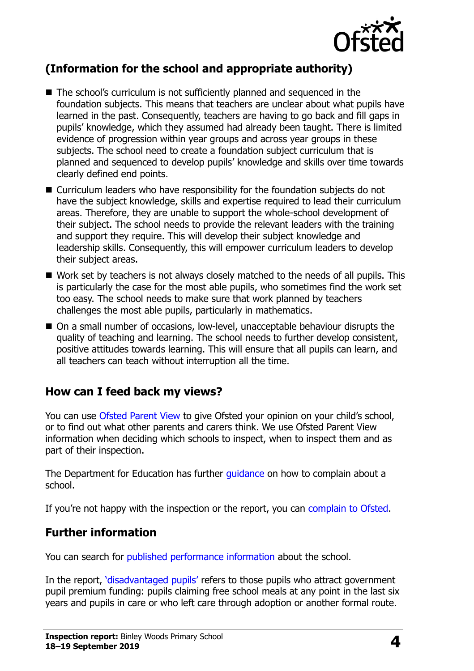

# **(Information for the school and appropriate authority)**

- The school's curriculum is not sufficiently planned and sequenced in the foundation subjects. This means that teachers are unclear about what pupils have learned in the past. Consequently, teachers are having to go back and fill gaps in pupils' knowledge, which they assumed had already been taught. There is limited evidence of progression within year groups and across year groups in these subjects. The school need to create a foundation subject curriculum that is planned and sequenced to develop pupils' knowledge and skills over time towards clearly defined end points.
- Curriculum leaders who have responsibility for the foundation subjects do not have the subject knowledge, skills and expertise required to lead their curriculum areas. Therefore, they are unable to support the whole-school development of their subject. The school needs to provide the relevant leaders with the training and support they require. This will develop their subject knowledge and leadership skills. Consequently, this will empower curriculum leaders to develop their subject areas.
- Work set by teachers is not always closely matched to the needs of all pupils. This is particularly the case for the most able pupils, who sometimes find the work set too easy. The school needs to make sure that work planned by teachers challenges the most able pupils, particularly in mathematics.
- On a small number of occasions, low-level, unacceptable behaviour disrupts the quality of teaching and learning. The school needs to further develop consistent, positive attitudes towards learning. This will ensure that all pupils can learn, and all teachers can teach without interruption all the time.

#### **How can I feed back my views?**

You can use [Ofsted Parent View](http://parentview.ofsted.gov.uk/) to give Ofsted your opinion on your child's school, or to find out what other parents and carers think. We use Ofsted Parent View information when deciding which schools to inspect, when to inspect them and as part of their inspection.

The Department for Education has further [guidance](http://www.gov.uk/complain-about-school) on how to complain about a school.

If you're not happy with the inspection or the report, you can [complain to Ofsted.](http://www.gov.uk/complain-ofsted-report)

#### **Further information**

You can search for [published performance information](http://www.compare-school-performance.service.gov.uk/) about the school.

In the report, '[disadvantaged pupils](http://www.gov.uk/guidance/pupil-premium-information-for-schools-and-alternative-provision-settings)' refers to those pupils who attract government pupil premium funding: pupils claiming free school meals at any point in the last six years and pupils in care or who left care through adoption or another formal route.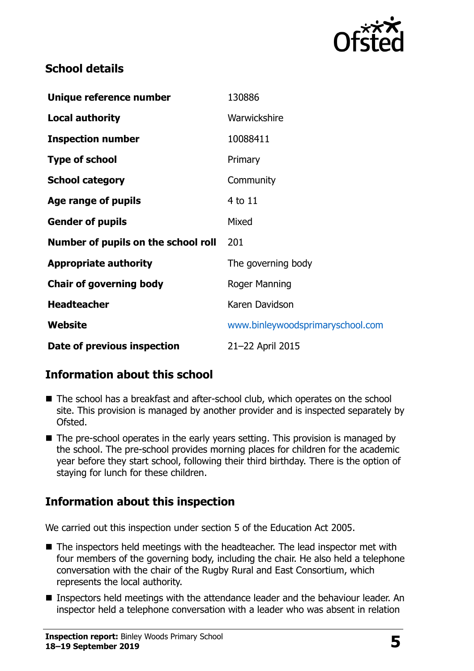

## **School details**

| Unique reference number             | 130886                           |
|-------------------------------------|----------------------------------|
| <b>Local authority</b>              | Warwickshire                     |
| <b>Inspection number</b>            | 10088411                         |
| <b>Type of school</b>               | Primary                          |
| <b>School category</b>              | Community                        |
| Age range of pupils                 | 4 to 11                          |
| <b>Gender of pupils</b>             | Mixed                            |
| Number of pupils on the school roll | 201                              |
| <b>Appropriate authority</b>        | The governing body               |
| <b>Chair of governing body</b>      | Roger Manning                    |
| <b>Headteacher</b>                  | Karen Davidson                   |
| Website                             | www.binleywoodsprimaryschool.com |
| Date of previous inspection         | 21-22 April 2015                 |

# **Information about this school**

- The school has a breakfast and after-school club, which operates on the school site. This provision is managed by another provider and is inspected separately by Ofsted.
- $\blacksquare$  The pre-school operates in the early years setting. This provision is managed by the school. The pre-school provides morning places for children for the academic year before they start school, following their third birthday. There is the option of staying for lunch for these children.

# **Information about this inspection**

We carried out this inspection under section 5 of the Education Act 2005.

- The inspectors held meetings with the headteacher. The lead inspector met with four members of the governing body, including the chair. He also held a telephone conversation with the chair of the Rugby Rural and East Consortium, which represents the local authority.
- **Inspectors held meetings with the attendance leader and the behaviour leader. An** inspector held a telephone conversation with a leader who was absent in relation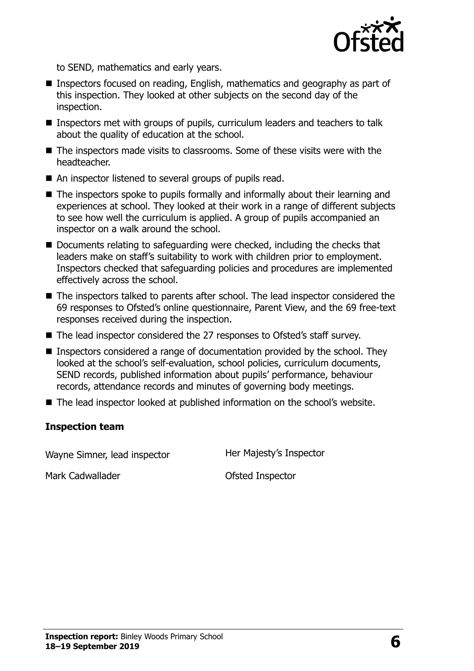

to SEND, mathematics and early years.

- Inspectors focused on reading, English, mathematics and geography as part of this inspection. They looked at other subjects on the second day of the inspection.
- Inspectors met with groups of pupils, curriculum leaders and teachers to talk about the quality of education at the school.
- The inspectors made visits to classrooms. Some of these visits were with the headteacher.
- An inspector listened to several groups of pupils read.
- The inspectors spoke to pupils formally and informally about their learning and experiences at school. They looked at their work in a range of different subjects to see how well the curriculum is applied. A group of pupils accompanied an inspector on a walk around the school.
- Documents relating to safeguarding were checked, including the checks that leaders make on staff's suitability to work with children prior to employment. Inspectors checked that safeguarding policies and procedures are implemented effectively across the school.
- The inspectors talked to parents after school. The lead inspector considered the 69 responses to Ofsted's online questionnaire, Parent View, and the 69 free-text responses received during the inspection.
- The lead inspector considered the 27 responses to Ofsted's staff survey.
- Inspectors considered a range of documentation provided by the school. They looked at the school's self-evaluation, school policies, curriculum documents, SEND records, published information about pupils' performance, behaviour records, attendance records and minutes of governing body meetings.
- The lead inspector looked at published information on the school's website.

#### **Inspection team**

Wayne Simner, lead inspector Her Majesty's Inspector

Mark Cadwallader **Canadacter** Ofsted Inspector